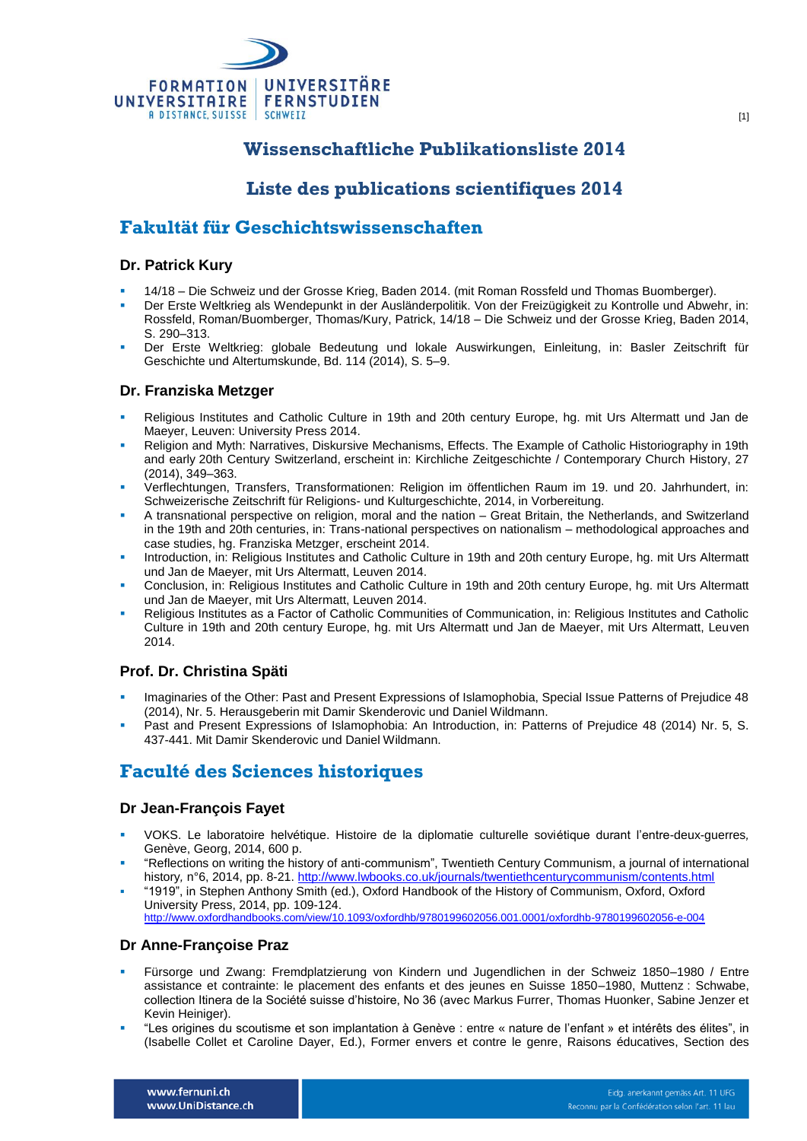

# **Wissenschaftliche Publikationsliste 2014**

# **Liste des publications scientifiques 2014**

# **Fakultät für Geschichtswissenschaften**

#### **Dr. Patrick Kury**

- 14/18 Die Schweiz und der Grosse Krieg, Baden 2014. (mit Roman Rossfeld und Thomas Buomberger).
- Der Erste Weltkrieg als Wendepunkt in der Ausländerpolitik. Von der Freizügigkeit zu Kontrolle und Abwehr, in: Rossfeld, Roman/Buomberger, Thomas/Kury, Patrick, 14/18 – Die Schweiz und der Grosse Krieg, Baden 2014, S. 290–313.
- Der Erste Weltkrieg: globale Bedeutung und lokale Auswirkungen, Einleitung, in: Basler Zeitschrift für Geschichte und Altertumskunde, Bd. 114 (2014), S. 5–9.

#### **Dr. Franziska Metzger**

- Religious Institutes and Catholic Culture in 19th and 20th century Europe, hg. mit Urs Altermatt und Jan de Maeyer, Leuven: University Press 2014.
- Religion and Myth: Narratives, Diskursive Mechanisms, Effects. The Example of Catholic Historiography in 19th and early 20th Century Switzerland, erscheint in: Kirchliche Zeitgeschichte / Contemporary Church History, 27 (2014), 349–363.
- Verflechtungen, Transfers, Transformationen: Religion im öffentlichen Raum im 19. und 20. Jahrhundert, in: Schweizerische Zeitschrift für Religions- und Kulturgeschichte, 2014, in Vorbereitung.
- A transnational perspective on religion, moral and the nation Great Britain, the Netherlands, and Switzerland in the 19th and 20th centuries, in: Trans-national perspectives on nationalism – methodological approaches and case studies, hg. Franziska Metzger, erscheint 2014.
- Introduction, in: Religious Institutes and Catholic Culture in 19th and 20th century Europe, hg. mit Urs Altermatt und Jan de Maeyer, mit Urs Altermatt, Leuven 2014.
- Conclusion, in: Religious Institutes and Catholic Culture in 19th and 20th century Europe, hg. mit Urs Altermatt und Jan de Maeyer, mit Urs Altermatt, Leuven 2014.
- Religious Institutes as a Factor of Catholic Communities of Communication, in: Religious Institutes and Catholic Culture in 19th and 20th century Europe, hg. mit Urs Altermatt und Jan de Maeyer, mit Urs Altermatt, Leuven 2014.

#### **Prof. Dr. Christina Späti**

- Imaginaries of the Other: Past and Present Expressions of Islamophobia, Special Issue Patterns of Prejudice 48 (2014), Nr. 5. Herausgeberin mit Damir Skenderovic und Daniel Wildmann.
- Past and Present Expressions of Islamophobia: An Introduction, in: Patterns of Prejudice 48 (2014) Nr. 5, S. 437-441. Mit Damir Skenderovic und Daniel Wildmann.

# **Faculté des Sciences historiques**

#### **Dr Jean-François Fayet**

- VOKS. Le laboratoire helvétique. Histoire de la diplomatie culturelle soviétique durant l'entre-deux-guerres*,*  Genève, Georg, 2014, 600 p.
- "Reflections on writing the history of anti-communism", Twentieth Century Communism, a journal of international history*,* n°6, 2014, pp. 8-21[. http://www.lwbooks.co.uk/journals/twentiethcenturycommunism/contents.html](http://www.lwbooks.co.uk/journals/twentiethcenturycommunism/contents.html)
- "1919", in Stephen Anthony Smith (ed.), Oxford Handbook of the History of Communism, Oxford, Oxford University Press, 2014, pp. 109-124. <http://www.oxfordhandbooks.com/view/10.1093/oxfordhb/9780199602056.001.0001/oxfordhb-9780199602056-e-004>

#### **Dr Anne-Françoise Praz**

- Fürsorge und Zwang: Fremdplatzierung von Kindern und Jugendlichen in der Schweiz 1850–1980 / Entre assistance et contrainte: le placement des enfants et des jeunes en Suisse 1850–1980, Muttenz : Schwabe, collection Itinera de la Société suisse d'histoire, No 36 (avec Markus Furrer, Thomas Huonker, Sabine Jenzer et Kevin Heiniger).
- "Les origines du scoutisme et son implantation à Genève : entre « nature de l'enfant » et intérêts des élites", in (Isabelle Collet et Caroline Dayer, Ed.), Former envers et contre le genre, Raisons éducatives, Section des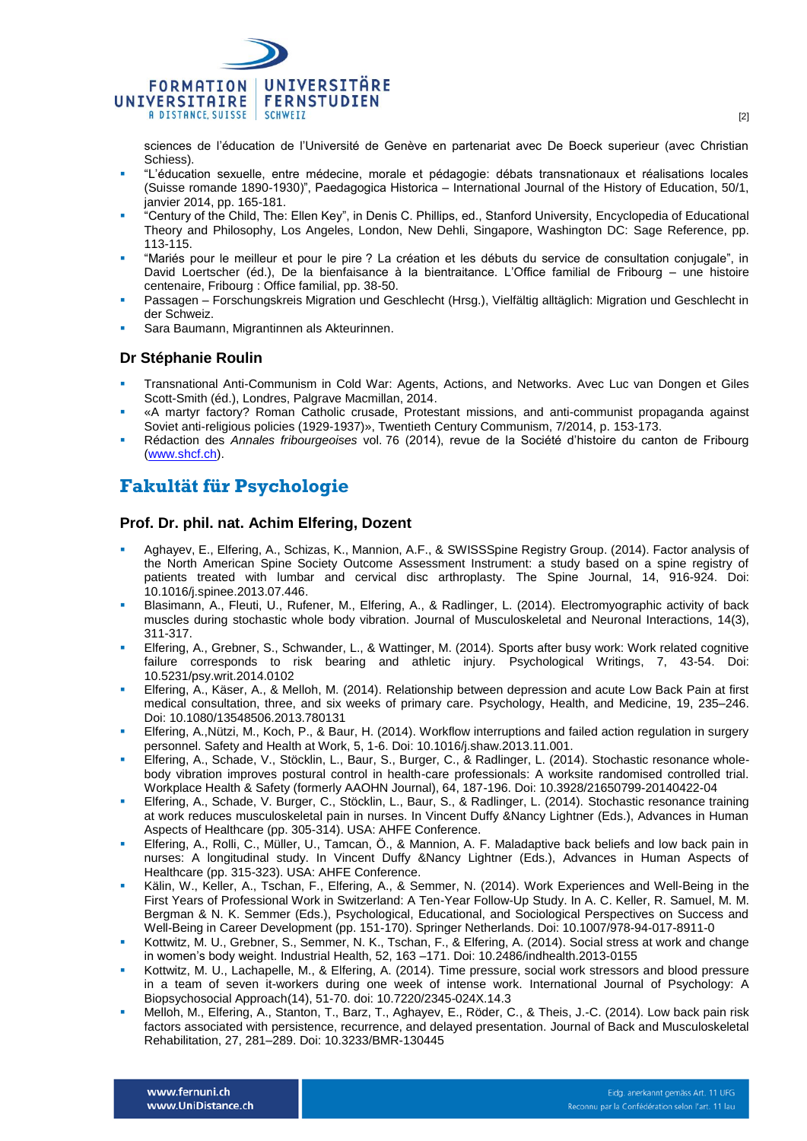

sciences de l'éducation de l'Université de Genève en partenariat avec De Boeck superieur (avec Christian Schiess).

- "L'éducation sexuelle, entre médecine, morale et pédagogie: débats transnationaux et réalisations locales (Suisse romande 1890-1930)", Paedagogica Historica – International Journal of the History of Education, 50/1, janvier 2014, pp. 165-181.
- "Century of the Child, The: Ellen Key", in Denis C. Phillips, ed., Stanford University, Encyclopedia of Educational Theory and Philosophy, Los Angeles, London, New Dehli, Singapore, Washington DC: Sage Reference, pp. 113-115.
- "Mariés pour le meilleur et pour le pire ? La création et les débuts du service de consultation conjugale", in David Loertscher (éd.), De la bienfaisance à la bientraitance. L'Office familial de Fribourg – une histoire centenaire, Fribourg : Office familial, pp. 38-50.
- Passagen Forschungskreis Migration und Geschlecht (Hrsg.), Vielfältig alltäglich: Migration und Geschlecht in der Schweiz.
- Sara Baumann, Migrantinnen als Akteurinnen.

#### **Dr Stéphanie Roulin**

- Transnational Anti-Communism in Cold War: Agents, Actions, and Networks. Avec Luc van Dongen et Giles Scott-Smith (éd.), Londres, Palgrave Macmillan, 2014.
- «A martyr factory? Roman Catholic crusade, Protestant missions, and anti-communist propaganda against Soviet anti-religious policies (1929-1937)», Twentieth Century Communism, 7/2014, p. 153-173.
- Rédaction des *Annales fribourgeoises* vol. 76 (2014), revue de la Société d'histoire du canton de Fribourg [\(www.shcf.ch\)](http://www.shcf.ch/).

# **Fakultät für Psychologie**

#### **Prof. Dr. phil. nat. Achim Elfering, Dozent**

- Aghayev, E., Elfering, A., Schizas, K., Mannion, A.F., & [SWISSSpine Registry Group.](http://www.ncbi.nlm.nih.gov/pubmed?term=SWISSSpine%20Registry%20Group%5BCorporate%20Author%5D) (2014). Factor analysis of the North American Spine Society Outcome Assessment Instrument: a study based on a spine registry of patients treated with lumbar and cervical disc arthroplasty. The Spine Journal, 14, 916-924. Doi: 10.1016/j.spinee.2013.07.446.
- Blasimann, A., Fleuti, U., Rufener, M., Elfering, A., & Radlinger, L. (2014). Electromyographic activity of back muscles during stochastic whole body vibration. Journal of Musculoskeletal and Neuronal Interactions, 14(3), 311-317.
- Elfering, A., Grebner, S., Schwander, L., & Wattinger, M. (2014). Sports after busy work: Work related cognitive failure corresponds to risk bearing and athletic injury. Psychological Writings, 7, 43-54. Doi: 10.5231/psy.writ.2014.0102
- Elfering, A., Käser, A., & Melloh, M. (2014). Relationship between depression and acute Low Back Pain at first medical consultation, three, and six weeks of primary care. Psychology, Health, and Medicine, 19, 235–246. Doi: 10.1080/13548506.2013.780131
- Elfering, A.,Nützi, M., Koch, P., & Baur, H. (2014). Workflow interruptions and failed action regulation in surgery personnel. Safety and Health at Work, 5, 1-6. Doi: 10.1016/j.shaw.2013.11.001.
- Elfering, A., Schade, V., Stöcklin, L., Baur, S., Burger, C., & Radlinger, L. (2014). Stochastic resonance wholebody vibration improves postural control in health-care professionals: A worksite randomised controlled trial. Workplace Health & Safety (formerly AAOHN Journal), 64, 187-196. Doi: 10.3928/21650799-20140422-04
- Elfering, A., Schade, V. Burger, C., Stöcklin, L., Baur, S., & Radlinger, L. (2014). Stochastic resonance training at work reduces musculoskeletal pain in nurses. In Vincent Duffy &Nancy Lightner (Eds.), Advances in Human Aspects of Healthcare (pp. 305-314). USA: AHFE Conference.
- Elfering, A., Rolli, C., Müller, U., Tamcan, Ö., & Mannion, A. F. Maladaptive back beliefs and low back pain in nurses: A longitudinal study. In Vincent Duffy &Nancy Lightner (Eds.), Advances in Human Aspects of Healthcare (pp. 315-323). USA: AHFE Conference.
- Kälin, W., Keller, A., Tschan, F., Elfering, A., & Semmer, N. (2014). Work Experiences and Well-Being in the First Years of Professional Work in Switzerland: A Ten-Year Follow-Up Study. In A. C. Keller, R. Samuel, M. M. Bergman & N. K. Semmer (Eds.), Psychological, Educational, and Sociological Perspectives on Success and Well-Being in Career Development (pp. 151-170). Springer Netherlands. Doi: 10.1007/978-94-017-8911-0
- Kottwitz, M. U., Grebner, S., Semmer, N. K., Tschan, F., & Elfering, A. (2014). Social stress at work and change in women's body weight. Industrial Health, 52, 163 –171. Doi: 10.2486/indhealth.2013-0155
- Kottwitz, M. U., Lachapelle, M., & Elfering, A. (2014). Time pressure, social work stressors and blood pressure in a team of seven it-workers during one week of intense work. International Journal of Psychology: A Biopsychosocial Approach(14), 51-70. doi: 10.7220/2345-024X.14.3
- Melloh, M., Elfering, A., Stanton, T., Barz, T., Aghayev, E., Röder, C., & Theis, J.-C. (2014). Low back pain risk factors associated with persistence, recurrence, and delayed presentation. Journal of Back and Musculoskeletal Rehabilitation, 27, 281–289. Doi: 10.3233/BMR-130445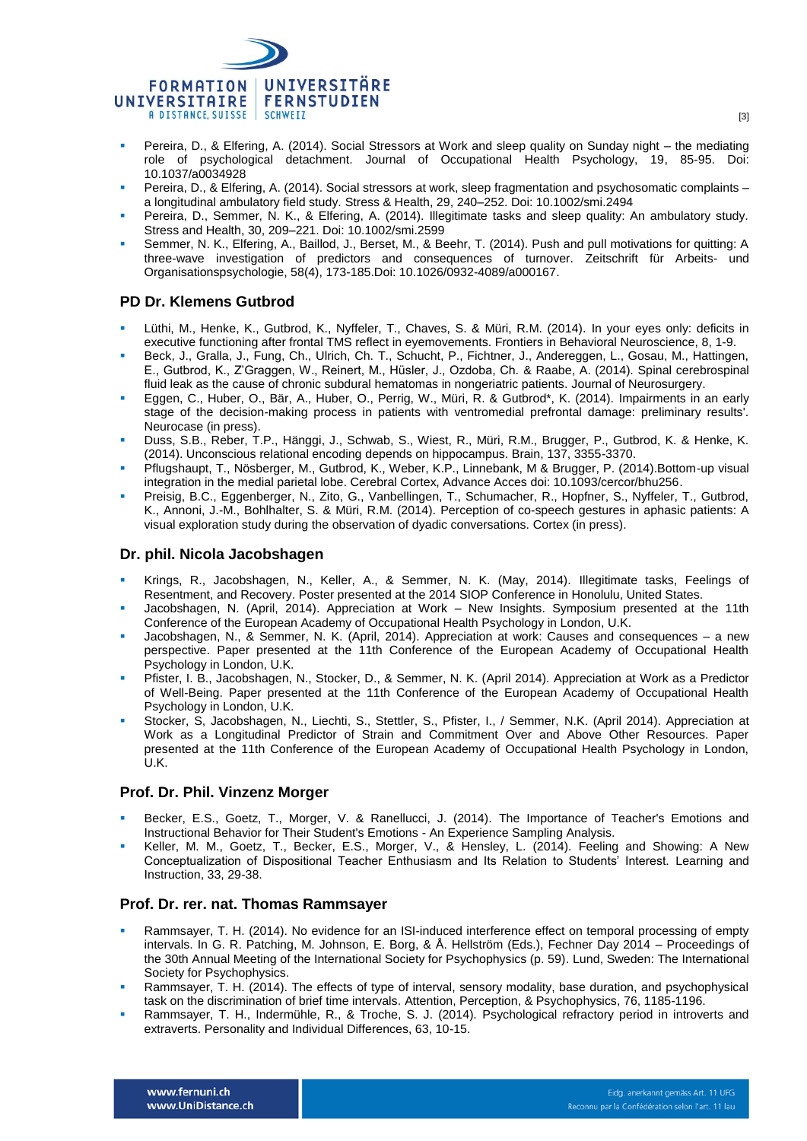

- Pereira, D., & Elfering, A. (2014). Social Stressors at Work and sleep quality on Sunday night the mediating role of psychological detachment. Journal of Occupational Health Psychology, 19, 85-95. Doi: 10.1037/a0034928
- Pereira, D., & Elfering, A. (2014). Social stressors at work, sleep fragmentation and psychosomatic complaints a longitudinal ambulatory field study. Stress & Health, 29, 240–252. Doi: 10.1002/smi.2494
- Pereira, D., Semmer, N. K., & Elfering, A. (2014). Illegitimate tasks and sleep quality: An ambulatory study. Stress and Health, 30, 209–221. Doi: 10.1002/smi.2599
- Semmer, N. K., Elfering, A., Baillod, J., Berset, M., & Beehr, T. (2014). Push and pull motivations for quitting: A three-wave investigation of predictors and consequences of turnover. Zeitschrift für Arbeits- und Organisationspsychologie, 58(4), 173-185.Doi: 10.1026/0932-4089/a000167.

### **PD Dr. Klemens Gutbrod**

- Lüthi, M., Henke, K., Gutbrod, K., Nyffeler, T., Chaves, S. & Müri, R.M. (2014). In your eyes only: deficits in executive functioning after frontal TMS reflect in eyemovements. Frontiers in Behavioral Neuroscience, 8, 1-9.
- Beck, J., Gralla, J., Fung, Ch., Ulrich, Ch. T., Schucht, P., Fichtner, J., Andereggen, L., Gosau, M., Hattingen, E., Gutbrod, K., Z'Graggen, W., Reinert, M., Hüsler, J., Ozdoba, Ch. & Raabe, A. (2014). Spinal cerebrospinal fluid leak as the cause of chronic subdural hematomas in nongeriatric patients. Journal of Neurosurgery.
- Eggen, C., Huber, O., Bär, A., Huber, O., Perrig, W., Müri, R. & Gutbrod\*, K. (2014). Impairments in an early stage of the decision-making process in patients with ventromedial prefrontal damage: preliminary results'. Neurocase (in press).
- Duss, S.B., Reber, T.P., Hänggi, J., Schwab, S., Wiest, R., Müri, R.M., Brugger, P., Gutbrod, K. & Henke, K. (2014). Unconscious relational encoding depends on hippocampus. Brain, 137, 3355-3370.
- Pflugshaupt, T., Nösberger, M., Gutbrod, K., Weber, K.P., Linnebank, M & Brugger, P. (2014).Bottom-up visual integration in the medial parietal lobe. Cerebral Cortex, Advance Acces doi: 10.1093/cercor/bhu256.
- Preisig, B.C., Eggenberger, N., Zito, G., Vanbellingen, T., Schumacher, R., Hopfner, S., Nyffeler, T., Gutbrod, K., Annoni, J.-M., Bohlhalter, S. & Müri, R.M. (2014). Perception of co-speech gestures in aphasic patients: A visual exploration study during the observation of dyadic conversations. Cortex (in press).

#### **Dr. phil. Nicola Jacobshagen**

- Krings, R., Jacobshagen, N., Keller, A., & Semmer, N. K. (May, 2014). Illegitimate tasks, Feelings of Resentment, and Recovery. Poster presented at the 2014 SIOP Conference in Honolulu, United States.
- Jacobshagen, N. (April, 2014). Appreciation at Work New Insights. Symposium presented at the 11th Conference of the European Academy of Occupational Health Psychology in London, U.K.
- Jacobshagen, N., & Semmer, N. K. (April, 2014). Appreciation at work: Causes and consequences a new perspective. Paper presented at the 11th Conference of the European Academy of Occupational Health Psychology in London, U.K.
- Pfister, I. B., Jacobshagen, N., Stocker, D., & Semmer, N. K. (April 2014). Appreciation at Work as a Predictor of Well-Being. Paper presented at the 11th Conference of the European Academy of Occupational Health Psychology in London, U.K.
- Stocker, S, Jacobshagen, N., Liechti, S., Stettler, S., Pfister, I., / Semmer, N.K. (April 2014). Appreciation at Work as a Longitudinal Predictor of Strain and Commitment Over and Above Other Resources. Paper presented at the 11th Conference of the European Academy of Occupational Health Psychology in London, U.K.

#### **Prof. Dr. Phil. Vinzenz Morger**

- Becker, E.S., Goetz, T., Morger, V. & Ranellucci, J. (2014). The Importance of Teacher's Emotions and Instructional Behavior for Their Student's Emotions - An Experience Sampling Analysis.
- Keller, M. M., Goetz, T., Becker, E.S., Morger, V., & Hensley, L. (2014). Feeling and Showing: A New Conceptualization of Dispositional Teacher Enthusiasm and Its Relation to Students' Interest. Learning and Instruction, 33, 29-38.

#### **Prof. Dr. rer. nat. Thomas Rammsayer**

- Rammsayer, T. H. (2014). No evidence for an ISI-induced interference effect on temporal processing of empty intervals. In G. R. Patching, M. Johnson, E. Borg, & Å. Hellström (Eds.), Fechner Day 2014 – Proceedings of the 30th Annual Meeting of the International Society for Psychophysics (p. 59). Lund, Sweden: The International Society for Psychophysics.
- Rammsayer, T. H. (2014). The effects of type of interval, sensory modality, base duration, and psychophysical task on the discrimination of brief time intervals. Attention, Perception, & Psychophysics, 76, 1185-1196.
- Rammsayer, T. H., Indermühle, R., & Troche, S. J. (2014). Psychological refractory period in introverts and extraverts. Personality and Individual Differences, 63, 10-15.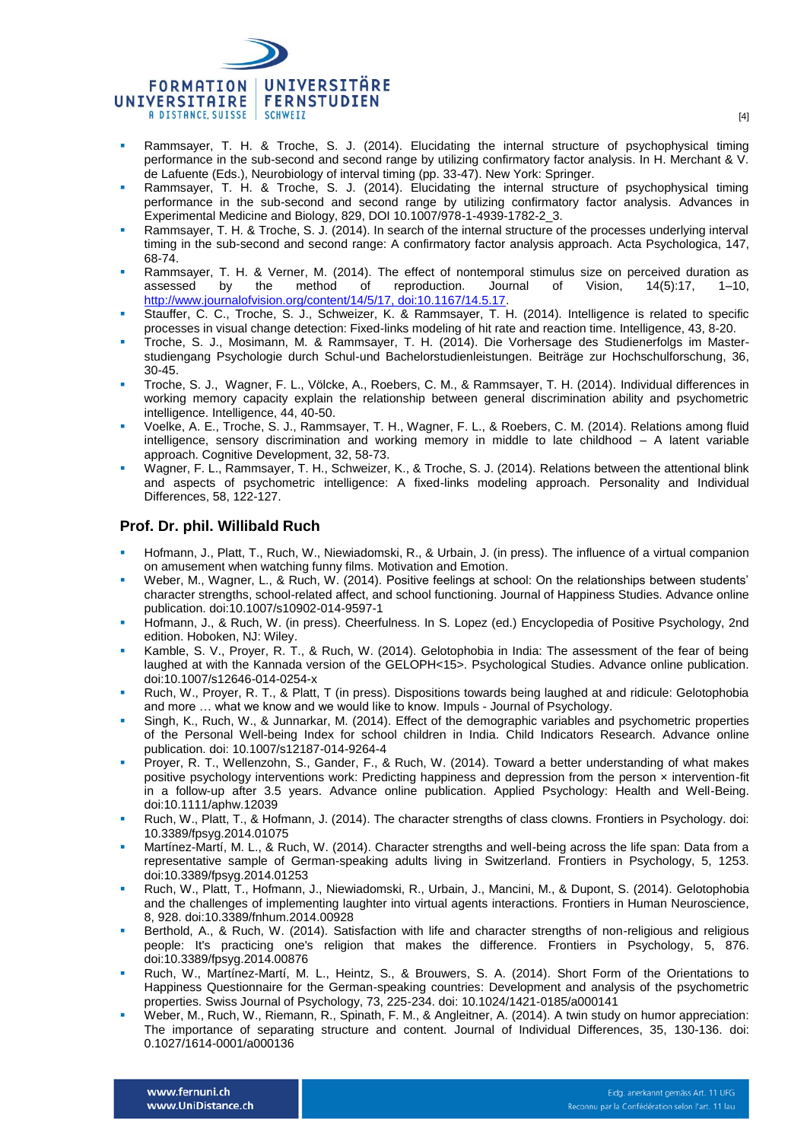

- Rammsayer, T. H. & Troche, S. J. (2014). Elucidating the internal structure of psychophysical timing performance in the sub-second and second range by utilizing confirmatory factor analysis. In H. Merchant & V. de Lafuente (Eds.), Neurobiology of interval timing (pp. 33-47). New York: Springer.
- Rammsayer, T. H. & Troche, S. J. (2014). Elucidating the internal structure of psychophysical timing performance in the sub-second and second range by utilizing confirmatory factor analysis. Advances in Experimental Medicine and Biology, 829, DOI 10.1007/978-1-4939-1782-2\_3.
- Rammsayer, T. H. & Troche, S. J. (2014). In search of the internal structure of the processes underlying interval timing in the sub-second and second range: A confirmatory factor analysis approach. Acta Psychologica, 147, 68-74.
- Rammsayer, T. H. & Verner, M. (2014). The effect of nontemporal stimulus size on perceived duration as assessed by the method of reproduction. Journal of Vision, 14(5):17, 1–10, http://www.journalofvision.org/content/14/5/17, doi:10.1167/14.5.17.
- Stauffer, C. C., Troche, S. J., Schweizer, K. & Rammsayer, T. H. (2014). Intelligence is related to specific processes in visual change detection: Fixed-links modeling of hit rate and reaction time. Intelligence, 43, 8-20.
- Troche, S. J., Mosimann, M. & Rammsayer, T. H. (2014). Die Vorhersage des Studienerfolgs im Masterstudiengang Psychologie durch Schul-und Bachelorstudienleistungen. Beiträge zur Hochschulforschung, 36, 30-45.
- Troche, S. J., Wagner, F. L., Völcke, A., Roebers, C. M., & Rammsayer, T. H. (2014). Individual differences in working memory capacity explain the relationship between general discrimination ability and psychometric intelligence. Intelligence, 44, 40-50.
- Voelke, A. E., Troche, S. J., Rammsayer, T. H., Wagner, F. L., & Roebers, C. M. (2014). Relations among fluid intelligence, sensory discrimination and working memory in middle to late childhood – A latent variable approach. Cognitive Development, 32, 58-73.
- Wagner, F. L., Rammsayer, T. H., Schweizer, K., & Troche, S. J. (2014). Relations between the attentional blink and aspects of psychometric intelligence: A fixed-links modeling approach. Personality and Individual Differences, 58, 122-127.

## **Prof. Dr. phil. Willibald Ruch**

- Hofmann, J., Platt, T., Ruch, W., Niewiadomski, R., & Urbain, J. (in press). The influence of a virtual companion on amusement when watching funny films. Motivation and Emotion.
- Weber, M., Wagner, L., & Ruch, W. (2014). Positive feelings at school: On the relationships between students' character strengths, school-related affect, and school functioning. Journal of Happiness Studies. Advance online publication. doi:10.1007/s10902-014-9597-1
- Hofmann, J., & Ruch, W. (in press). Cheerfulness. In S. Lopez (ed.) Encyclopedia of Positive Psychology, 2nd edition. Hoboken, NJ: Wiley.
- Kamble, S. V., Proyer, R. T., & Ruch, W. (2014). Gelotophobia in India: The assessment of the fear of being laughed at with the Kannada version of the GELOPH<15>. Psychological Studies. Advance online publication. doi:10.1007/s12646-014-0254-x
- Ruch, W., Proyer, R. T., & Platt, T (in press). Dispositions towards being laughed at and ridicule: Gelotophobia and more … what we know and we would like to know. Impuls - Journal of Psychology.
- Singh, K., Ruch, W., & Junnarkar, M. (2014). Effect of the demographic variables and psychometric properties of the Personal Well-being Index for school children in India. Child Indicators Research. Advance online publication. doi: 10.1007/s12187-014-9264-4
- Proyer, R. T., Wellenzohn, S., Gander, F., & Ruch, W. (2014). Toward a better understanding of what makes positive psychology interventions work: Predicting happiness and depression from the person × intervention-fit in a follow-up after 3.5 years. Advance online publication. Applied Psychology: Health and Well-Being. doi:10.1111/aphw.12039
- Ruch, W., Platt, T., & Hofmann, J. (2014). The character strengths of class clowns. Frontiers in Psychology. doi: 10.3389/fpsyg.2014.01075
- Martínez-Martí, M. L., & Ruch, W. (2014). Character strengths and well-being across the life span: Data from a representative sample of German-speaking adults living in Switzerland. Frontiers in Psychology, 5, 1253. doi:10.3389/fpsyg.2014.01253
- Ruch, W., Platt, T., Hofmann, J., Niewiadomski, R., Urbain, J., Mancini, M., & Dupont, S. (2014). Gelotophobia and the challenges of implementing laughter into virtual agents interactions. Frontiers in Human Neuroscience, 8, 928. doi:10.3389/fnhum.2014.00928
- Berthold, A., & Ruch, W. (2014). Satisfaction with life and character strengths of non-religious and religious people: It's practicing one's religion that makes the difference. Frontiers in Psychology, 5, 876. doi:10.3389/fpsyg.2014.00876
- Ruch, W., Martínez-Martí, M. L., Heintz, S., & Brouwers, S. A. (2014). Short Form of the Orientations to Happiness Questionnaire for the German-speaking countries: Development and analysis of the psychometric properties. Swiss Journal of Psychology, 73, 225-234. doi: 10.1024/1421-0185/a000141
- Weber, M., Ruch, W., Riemann, R., Spinath, F. M., & Angleitner, A. (2014). A twin study on humor appreciation: The importance of separating structure and content. Journal of Individual Differences, 35, 130-136. doi: 0.1027/1614-0001/a000136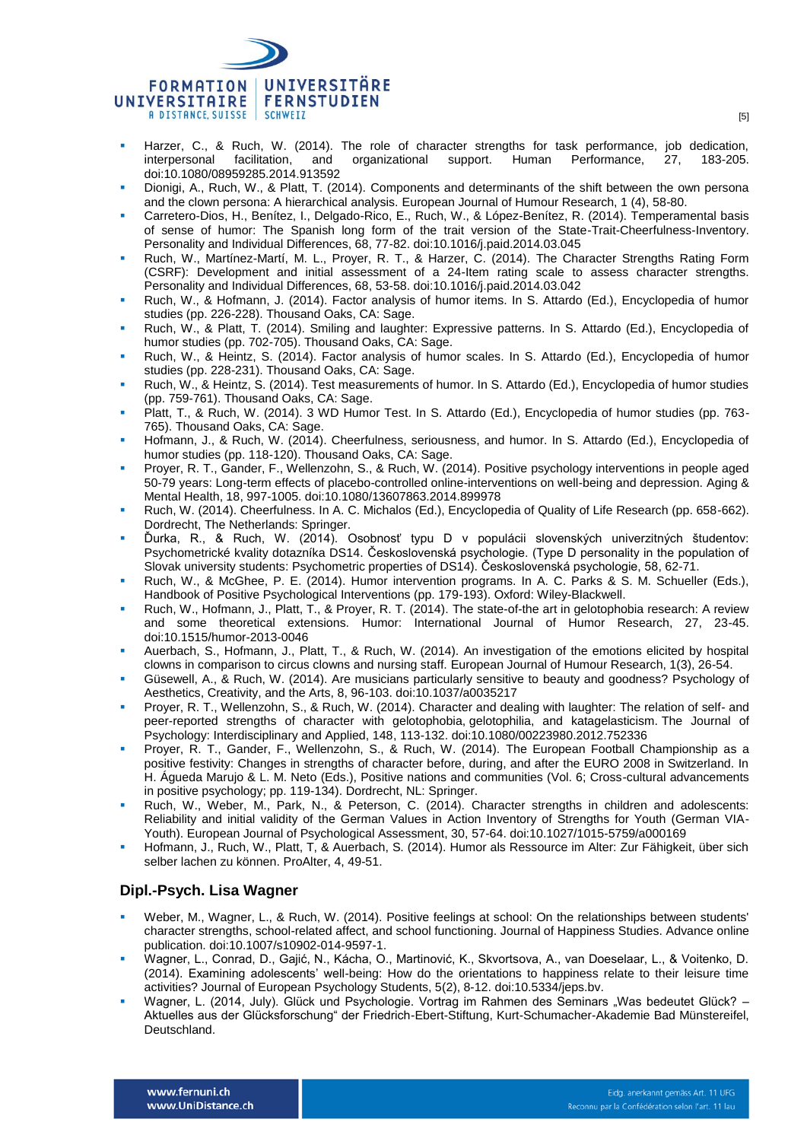

- Harzer, C., & Ruch, W. (2014). The role of character strengths for task performance, job dedication, interpersonal facilitation, and organizational support. Human Performance, 27, 183-205. doi:10.1080/08959285.2014.913592
- Dionigi, A., Ruch, W., & Platt, T. (2014). Components and determinants of the shift between the own persona and the clown persona: A hierarchical analysis. European Journal of Humour Research, 1 (4), 58-80.
- Carretero-Dios, H., Benítez, I., Delgado-Rico, E., Ruch, W., & López-Benítez, R. (2014). Temperamental basis of sense of humor: The Spanish long form of the trait version of the State-Trait-Cheerfulness-Inventory. Personality and Individual Differences, 68, 77-82. doi:10.1016/j.paid.2014.03.045
- Ruch, W., Martínez-Martí, M. L., Proyer, R. T., & Harzer, C. (2014). The Character Strengths Rating Form (CSRF): Development and initial assessment of a 24-Item rating scale to assess character strengths. Personality and Individual Differences, 68, 53-58. doi:10.1016/j.paid.2014.03.042
- Ruch, W., & Hofmann, J. (2014). Factor analysis of humor items. In S. Attardo (Ed.), Encyclopedia of humor studies (pp. 226-228). Thousand Oaks, CA: Sage.
- Ruch, W., & Platt, T. (2014). Smiling and laughter: Expressive patterns. In S. Attardo (Ed.), Encyclopedia of humor studies (pp. 702-705). Thousand Oaks, CA: Sage.
- Ruch, W., & Heintz, S. (2014). Factor analysis of humor scales. In S. Attardo (Ed.), Encyclopedia of humor studies (pp. 228-231). Thousand Oaks, CA: Sage.
- Ruch, W., & Heintz, S. (2014). Test measurements of humor. In S. Attardo (Ed.), Encyclopedia of humor studies (pp. 759-761). Thousand Oaks, CA: Sage.
- Platt, T., & Ruch, W. (2014). 3 WD Humor Test. In S. Attardo (Ed.), Encyclopedia of humor studies (pp. 763- 765). Thousand Oaks, CA: Sage.
- Hofmann, J., & Ruch, W. (2014). Cheerfulness, seriousness, and humor. In S. Attardo (Ed.), Encyclopedia of humor studies (pp. 118-120). Thousand Oaks, CA: Sage.
- Proyer, R. T., Gander, F., Wellenzohn, S., & Ruch, W. (2014). Positive psychology interventions in people aged 50-79 years: Long-term effects of placebo-controlled online-interventions on well-being and depression. Aging & Mental Health, 18, 997-1005. doi:10.1080/13607863.2014.899978
- Ruch, W. (2014). Cheerfulness. In A. C. Michalos (Ed.), Encyclopedia of Quality of Life Research (pp. 658-662). Dordrecht, The Netherlands: Springer.
- Ďurka, R., & Ruch, W. (2014). Osobnosť typu D v populácii slovenských univerzitných študentov: Psychometrické kvality dotazníka DS14. Československá psychologie. (Type D personality in the population of Slovak university students: Psychometric properties of DS14). Československá psychologie, 58, 62-71.
- Ruch, W., & McGhee, P. E. (2014). Humor intervention programs. In A. C. Parks & S. M. Schueller (Eds.), Handbook of Positive Psychological Interventions (pp. 179-193). Oxford: Wiley-Blackwell.
- Ruch, W., Hofmann, J., Platt, T., & Proyer, R. T. (2014). The state-of-the art in gelotophobia research: A review and some theoretical extensions. Humor: International Journal of Humor Research, 27, 23-45. doi:10.1515/humor-2013-0046
- Auerbach, S., Hofmann, J., Platt, T., & Ruch, W. (2014). An investigation of the emotions elicited by hospital clowns in comparison to circus clowns and nursing staff. European Journal of Humour Research, 1(3), 26-54.
- Güsewell, A., & Ruch, W. (2014). Are musicians particularly sensitive to beauty and goodness? Psychology of Aesthetics, Creativity, and the Arts, 8, 96-103. doi:10.1037/a0035217
- Proyer, R. T., Wellenzohn, S., & Ruch, W. (2014). Character and dealing with laughter: The relation of self- and peer-reported strengths of character with gelotophobia, gelotophilia, and katagelasticism. The Journal of Psychology: Interdisciplinary and Applied, 148, 113-132. doi:10.1080/00223980.2012.752336
- Proyer, R. T., Gander, F., Wellenzohn, S., & Ruch, W. (2014). The European Football Championship as a positive festivity: Changes in strengths of character before, during, and after the EURO 2008 in Switzerland. In H. Águeda Marujo & L. M. Neto (Eds.), Positive nations and communities (Vol. 6; Cross-cultural advancements in positive psychology; pp. 119-134). Dordrecht, NL: Springer.
- Ruch, W., Weber, M., Park, N., & Peterson, C. (2014). Character strengths in children and adolescents: Reliability and initial validity of the German Values in Action Inventory of Strengths for Youth (German VIA-Youth). European Journal of Psychological Assessment, 30, 57-64. doi:10.1027/1015-5759/a000169
- Hofmann, J., Ruch, W., Platt, T, & Auerbach, S. (2014). Humor als Ressource im Alter: Zur Fähigkeit, über sich selber lachen zu können. ProAlter, 4, 49-51.

#### **Dipl.-Psych. Lisa Wagner**

- Weber, M., Wagner, L., & Ruch, W. (2014). Positive feelings at school: On the relationships between students' character strengths, school-related affect, and school functioning. Journal of Happiness Studies. Advance online publication. doi:10.1007/s10902-014-9597-1.
- Wagner, L., Conrad, D., Gajić, N., Kácha, O., Martinović, K., Skvortsova, A., van Doeselaar, L., & Voitenko, D. (2014). Examining adolescents' well-being: How do the orientations to happiness relate to their leisure time activities? Journal of European Psychology Students, 5(2), 8-12. doi:10.5334/jeps.bv.
- Wagner, L. (2014, July). Glück und Psychologie. Vortrag im Rahmen des Seminars "Was bedeutet Glück? Aktuelles aus der Glücksforschung" der Friedrich-Ebert-Stiftung, Kurt-Schumacher-Akademie Bad Münstereifel, Deutschland.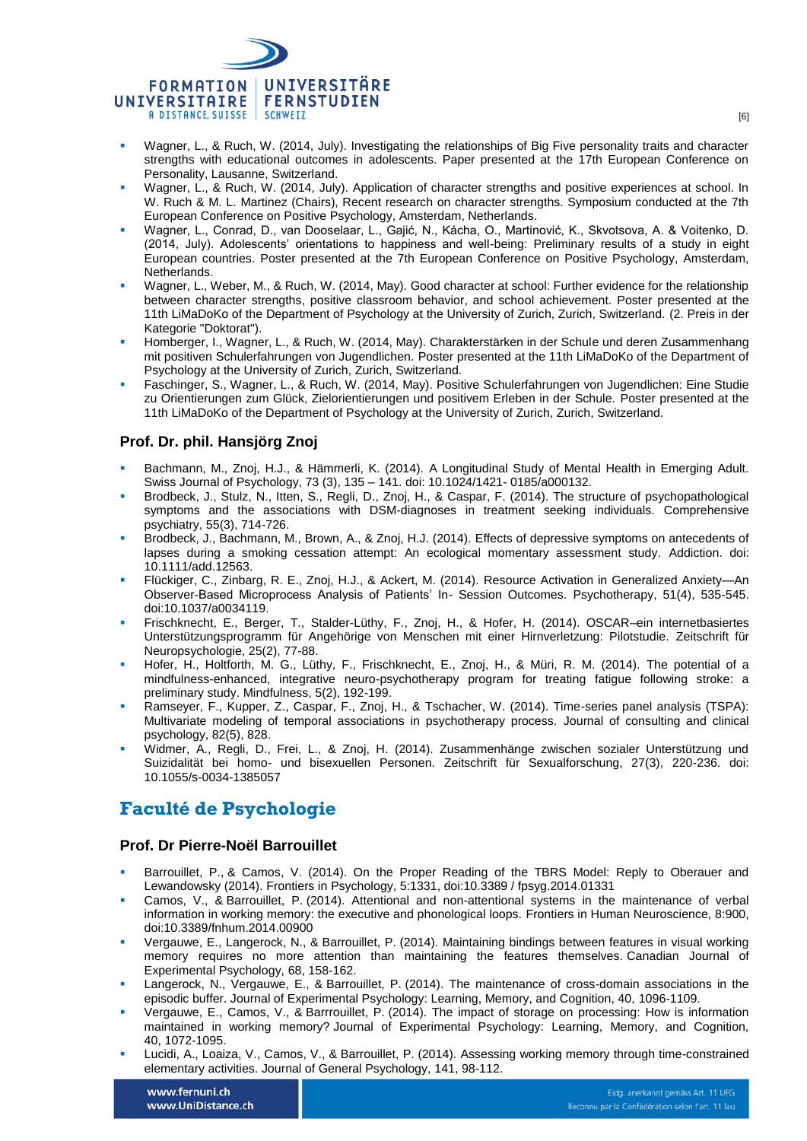

- Wagner, L., & Ruch, W. (2014, July). Investigating the relationships of Big Five personality traits and character strengths with educational outcomes in adolescents. Paper presented at the 17th European Conference on Personality, Lausanne, Switzerland.
- Wagner, L., & Ruch, W. (2014, July). Application of character strengths and positive experiences at school. In W. Ruch & M. L. Martinez (Chairs), Recent research on character strengths. Symposium conducted at the 7th European Conference on Positive Psychology, Amsterdam, Netherlands.
- Wagner, L., Conrad, D., van Dooselaar, L., Gajić, N., Kácha, O., Martinović, K., Skvotsova, A. & Voitenko, D. (2014, July). Adolescents' orientations to happiness and well-being: Preliminary results of a study in eight European countries. Poster presented at the 7th European Conference on Positive Psychology, Amsterdam, Netherlands.
- Wagner, L., Weber, M., & Ruch, W. (2014, May). Good character at school: Further evidence for the relationship between character strengths, positive classroom behavior, and school achievement. Poster presented at the 11th LiMaDoKo of the Department of Psychology at the University of Zurich, Zurich, Switzerland. (2. Preis in der Kategorie "Doktorat").
- Homberger, I., Wagner, L., & Ruch, W. (2014, May). Charakterstärken in der Schule und deren Zusammenhang mit positiven Schulerfahrungen von Jugendlichen. Poster presented at the 11th LiMaDoKo of the Department of Psychology at the University of Zurich, Zurich, Switzerland.
- Faschinger, S., Wagner, L., & Ruch, W. (2014, May). Positive Schulerfahrungen von Jugendlichen: Eine Studie zu Orientierungen zum Glück, Zielorientierungen und positivem Erleben in der Schule. Poster presented at the 11th LiMaDoKo of the Department of Psychology at the University of Zurich, Zurich, Switzerland.

## **Prof. Dr. phil. Hansjörg Znoj**

- Bachmann, M., Znoj, H.J., & Hämmerli, K. (2014). A Longitudinal Study of Mental Health in Emerging Adult. Swiss Journal of Psychology, 73 (3), 135 – 141. doi: 10.1024/1421- 0185/a000132.
- Brodbeck, J., Stulz, N., Itten, S., Regli, D., Znoj, H., & Caspar, F. (2014). The structure of psychopathological symptoms and the associations with DSM-diagnoses in treatment seeking individuals. Comprehensive psychiatry, 55(3), 714-726.
- Brodbeck, J., Bachmann, M., Brown, A., & Znoj, H.J. (2014). Effects of depressive symptoms on antecedents of lapses during a smoking cessation attempt: An ecological momentary assessment study. Addiction. doi: 10.1111/add.12563.
- Flückiger, C., Zinbarg, R. E., Znoj, H.J., & Ackert, M. (2014). Resource Activation in Generalized Anxiety—An Observer-Based Microprocess Analysis of Patients' In- Session Outcomes. Psychotherapy, 51(4), 535-545. doi:10.1037/a0034119.
- Frischknecht, E., Berger, T., Stalder-Lüthy, F., Znoj, H., & Hofer, H. (2014). OSCAR–ein internetbasiertes Unterstützungsprogramm für Angehörige von Menschen mit einer Hirnverletzung: Pilotstudie. Zeitschrift für Neuropsychologie, 25(2), 77-88.
- Hofer, H., Holtforth, M. G., Lüthy, F., Frischknecht, E., Znoj, H., & Müri, R. M. (2014). The potential of a mindfulness-enhanced, integrative neuro-psychotherapy program for treating fatigue following stroke: a preliminary study. Mindfulness, 5(2), 192-199.
- Ramseyer, F., Kupper, Z., Caspar, F., Znoj, H., & Tschacher, W. (2014). Time-series panel analysis (TSPA): Multivariate modeling of temporal associations in psychotherapy process. Journal of consulting and clinical psychology, 82(5), 828.
- Widmer, A., Regli, D., Frei, L., & Znoj, H. (2014). Zusammenhänge zwischen sozialer Unterstützung und Suizidalität bei homo- und bisexuellen Personen. Zeitschrift für Sexualforschung, 27(3), 220-236. doi: 10.1055/s-0034-1385057

# **Faculté de Psychologie**

#### **Prof. Dr Pierre-Noël Barrouillet**

- Barrouillet, P., & Camos, V. (2014). On the Proper Reading of the TBRS Model: Reply to Oberauer and Lewandowsky (2014). Frontiers in Psychology, 5:1331, doi:10.3389 / fpsyg.2014.01331
- Camos, V., & Barrouillet, P. (2014). Attentional and non-attentional systems in the maintenance of verbal information in working memory: the executive and phonological loops. Frontiers in Human Neuroscience, 8:900, doi:10.3389/fnhum.2014.00900
- Vergauwe, E., Langerock, N., & Barrouillet, P. (2014). Maintaining bindings between features in visual working memory requires no more attention than maintaining the features themselves. Canadian Journal of Experimental Psychology, 68, 158-162.
- Langerock, N., Vergauwe, E., & Barrouillet, P. (2014). The maintenance of cross-domain associations in the episodic buffer. Journal of Experimental Psychology: Learning, Memory, and Cognition, 40, 1096-1109.
- Vergauwe, E., Camos, V., & Barrrouillet, P. (2014). The impact of storage on processing: How is information maintained in working memory? Journal of Experimental Psychology: Learning, Memory, and Cognition, 40, 1072-1095.
- Lucidi, A., Loaiza, V., Camos, V., & Barrouillet, P. (2014). Assessing working memory through time-constrained elementary activities. Journal of General Psychology, 141, 98-112.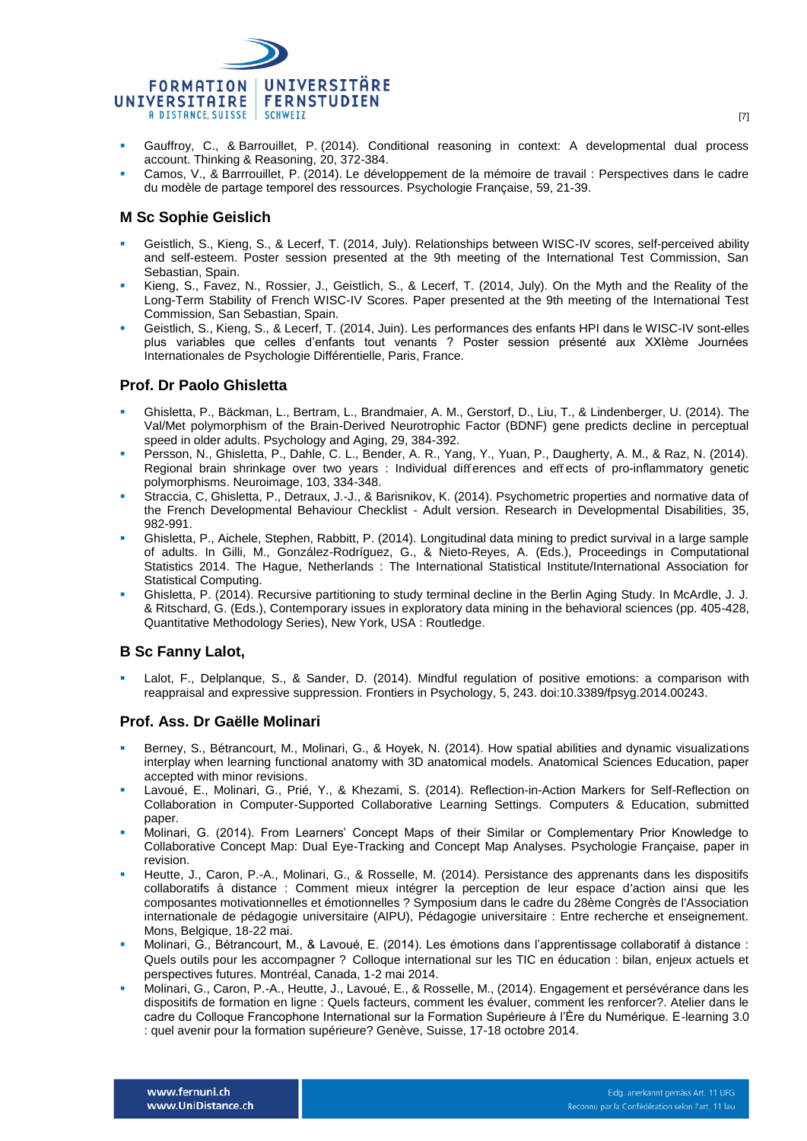

- Gauffroy, C., & Barrouillet, P. (2014). Conditional reasoning in context: A developmental dual process account. Thinking & Reasoning, 20, 372-384.
- Camos, V., & Barrrouillet, P. (2014). Le développement de la mémoire de travail : Perspectives dans le cadre du modèle de partage temporel des ressources. Psychologie Française, 59, 21-39.

### **M Sc Sophie Geislich**

- Geistlich, S., Kieng, S., & Lecerf, T. (2014, July). Relationships between WISC-IV scores, self-perceived ability and self-esteem. Poster session presented at the 9th meeting of the International Test Commission, San Sebastian, Spain.
- Kieng, S., Favez, N., Rossier, J., Geistlich, S., & Lecerf, T. (2014, July). On the Myth and the Reality of the Long-Term Stability of French WISC-IV Scores. Paper presented at the 9th meeting of the International Test Commission, San Sebastian, Spain.
- Geistlich, S., Kieng, S., & Lecerf, T. (2014, Juin). Les performances des enfants HPI dans le WISC-IV sont-elles plus variables que celles d'enfants tout venants ? Poster session présenté aux XXIème Journées Internationales de Psychologie Différentielle, Paris, France.

#### **Prof. Dr Paolo Ghisletta**

- Ghisletta, P., Bäckman, L., Bertram, L., Brandmaier, A. M., Gerstorf, D., Liu, T., & Lindenberger, U. (2014). The Val/Met polymorphism of the Brain-Derived Neurotrophic Factor (BDNF) gene predicts decline in perceptual speed in older adults. Psychology and Aging, 29, 384-392.
- Persson, N., Ghisletta, P., Dahle, C. L., Bender, A. R., Yang, Y., Yuan, P., Daugherty, A. M., & Raz, N. (2014). Regional brain shrinkage over two years : Individual differences and effects of pro-inflammatory genetic polymorphisms. Neuroimage, 103, 334-348.
- Straccia, C, Ghisletta, P., Detraux, J.-J., & Barisnikov, K. (2014). Psychometric properties and normative data of the French Developmental Behaviour Checklist - Adult version. Research in Developmental Disabilities, 35, 982-991.
- Ghisletta, P., Aichele, Stephen, Rabbitt, P. (2014). Longitudinal data mining to predict survival in a large sample of adults. In Gilli, M., González-Rodríguez, G., & Nieto-Reyes, A. (Eds.), Proceedings in Computational Statistics 2014. The Hague, Netherlands : The International Statistical Institute/International Association for Statistical Computing.
- Ghisletta, P. (2014). Recursive partitioning to study terminal decline in the Berlin Aging Study. In McArdle, J. J. & Ritschard, G. (Eds.), Contemporary issues in exploratory data mining in the behavioral sciences (pp. 405-428, Quantitative Methodology Series), New York, USA : Routledge.

## **B Sc Fanny Lalot,**

 Lalot, F., Delplanque, S., & Sander, D. (2014). Mindful regulation of positive emotions: a comparison with reappraisal and expressive suppression. Frontiers in Psychology, 5, 243. doi:10.3389/fpsyg.2014.00243.

## **Prof. Ass. Dr Gaëlle Molinari**

- Berney, S., Bétrancourt, M., Molinari, G., & Hoyek, N. (2014). How spatial abilities and dynamic visualizations interplay when learning functional anatomy with 3D anatomical models. Anatomical Sciences Education, paper accepted with minor revisions.
- Lavoué, E., Molinari, G., Prié, Y., & Khezami, S. (2014). Reflection-in-Action Markers for Self-Reflection on Collaboration in Computer-Supported Collaborative Learning Settings. Computers & Education, submitted paper.
- Molinari, G. (2014). From Learners' Concept Maps of their Similar or Complementary Prior Knowledge to Collaborative Concept Map: Dual Eye-Tracking and Concept Map Analyses. Psychologie Française, paper in revision.
- Heutte, J., Caron, P.-A., Molinari, G., & Rosselle, M. (2014). Persistance des apprenants dans les dispositifs collaboratifs à distance : Comment mieux intégrer la perception de leur espace d'action ainsi que les composantes motivationnelles et émotionnelles ? Symposium dans le cadre du 28ème Congrès de l'Association internationale de pédagogie universitaire (AIPU), Pédagogie universitaire : Entre recherche et enseignement. Mons, Belgique, 18-22 mai.
- Molinari, G., Bétrancourt, M., & Lavoué, E. (2014). Les émotions dans l'apprentissage collaboratif à distance : Quels outils pour les accompagner ? Colloque international sur les TIC en éducation : bilan, enjeux actuels et perspectives futures. Montréal, Canada, 1-2 mai 2014.
- Molinari, G., Caron, P.-A., Heutte, J., Lavoué, E., & Rosselle, M., (2014). Engagement et persévérance dans les dispositifs de formation en ligne : Quels facteurs, comment les évaluer, comment les renforcer?. Atelier dans le cadre du Colloque Francophone International sur la Formation Supérieure à l'Ère du Numérique. E-learning 3.0 : quel avenir pour la formation supérieure? Genève, Suisse, 17-18 octobre 2014.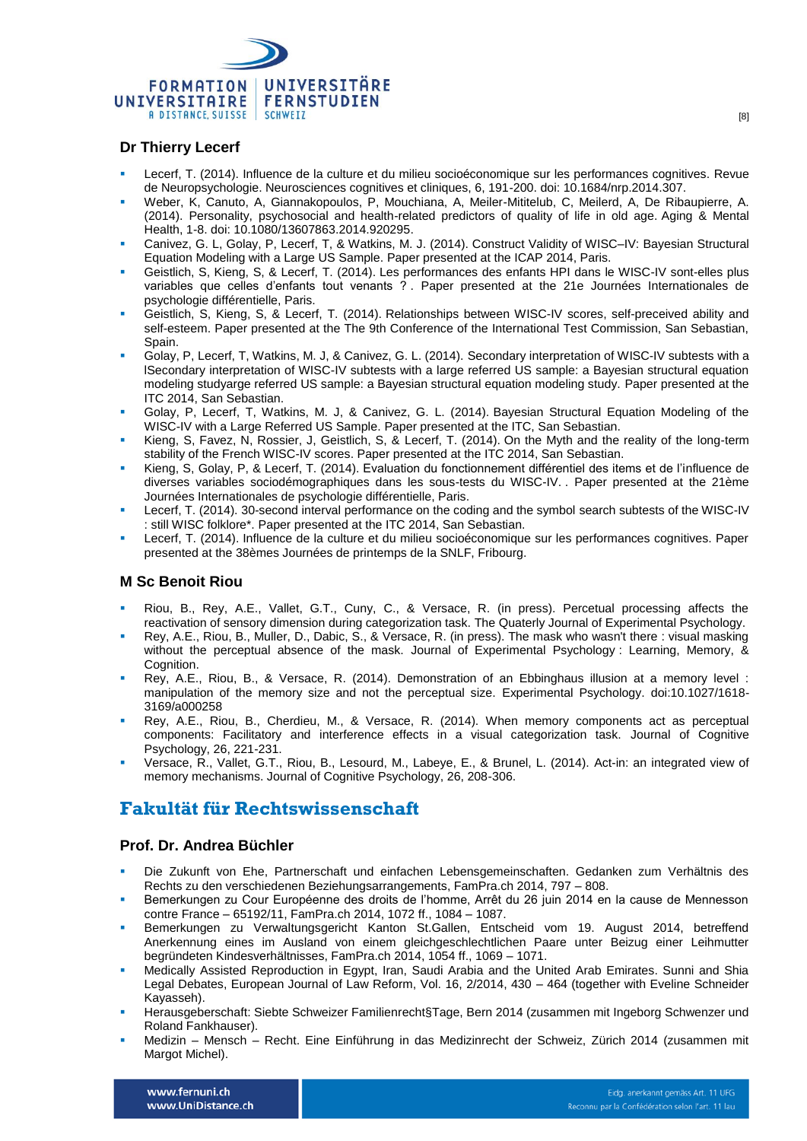

# **Dr Thierry Lecerf**

- Lecerf, T. (2014). Influence de la culture et du milieu socioéconomique sur les performances cognitives. Revue de Neuropsychologie. Neurosciences cognitives et cliniques, 6, 191-200. doi: 10.1684/nrp.2014.307.
- Weber, K, Canuto, A, Giannakopoulos, P, Mouchiana, A, Meiler-Mititelub, C, Meilerd, A, De Ribaupierre, A. (2014). Personality, psychosocial and health-related predictors of quality of life in old age. Aging & Mental Health, 1-8. doi: 10.1080/13607863.2014.920295.
- Canivez, G. L, Golay, P, Lecerf, T, & Watkins, M. J. (2014). Construct Validity of WISC–IV: Bayesian Structural Equation Modeling with a Large US Sample. Paper presented at the ICAP 2014, Paris.
- Geistlich, S, Kieng, S, & Lecerf, T. (2014). Les performances des enfants HPI dans le WISC-IV sont-elles plus variables que celles d'enfants tout venants ? . Paper presented at the 21e Journées Internationales de psychologie différentielle, Paris.
- Geistlich, S, Kieng, S, & Lecerf, T. (2014). Relationships between WISC-IV scores, self-preceived ability and self-esteem. Paper presented at the The 9th Conference of the International Test Commission, San Sebastian, Spain.
- Golay, P, Lecerf, T, Watkins, M. J, & Canivez, G. L. (2014). Secondary interpretation of WISC-IV subtests with a lSecondary interpretation of WISC-IV subtests with a large referred US sample: a Bayesian structural equation modeling studyarge referred US sample: a Bayesian structural equation modeling study. Paper presented at the ITC 2014, San Sebastian.
- Golay, P, Lecerf, T, Watkins, M. J, & Canivez, G. L. (2014). Bayesian Structural Equation Modeling of the WISC-IV with a Large Referred US Sample. Paper presented at the ITC, San Sebastian.
- Kieng, S, Favez, N, Rossier, J, Geistlich, S, & Lecerf, T. (2014). On the Myth and the reality of the long-term stability of the French WISC-IV scores. Paper presented at the ITC 2014, San Sebastian.
- Kieng, S, Golay, P, & Lecerf, T. (2014). Evaluation du fonctionnement différentiel des items et de l'influence de diverses variables sociodémographiques dans les sous-tests du WISC-IV. . Paper presented at the 21ème Journées Internationales de psychologie différentielle, Paris.
- Lecerf, T. (2014). 30-second interval performance on the coding and the symbol search subtests of the WISC-IV : still WISC folklore\*. Paper presented at the ITC 2014, San Sebastian.
- Lecerf, T. (2014). Influence de la culture et du milieu socioéconomique sur les performances cognitives. Paper presented at the 38èmes Journées de printemps de la SNLF, Fribourg.

#### **M Sc Benoit Riou**

- Riou, B., Rey, A.E., Vallet, G.T., Cuny, C., & Versace, R. (in press). Percetual processing affects the reactivation of sensory dimension during categorization task. The Quaterly Journal of Experimental Psychology.
- Rey, A.E., Riou, B., Muller, D., Dabic, S., & Versace, R. (in press). The mask who wasn't there : visual masking without the perceptual absence of the mask. Journal of Experimental Psychology : Learning, Memory, & Cognition.
- Rey, A.E., Riou, B., & Versace, R. (2014). Demonstration of an Ebbinghaus illusion at a memory level : manipulation of the memory size and not the perceptual size. Experimental Psychology. doi:10.1027/1618- 3169/a000258
- Rey, A.E., Riou, B., Cherdieu, M., & Versace, R. (2014). When memory components act as perceptual components: Facilitatory and interference effects in a visual categorization task. Journal of Cognitive Psychology, 26, 221-231.
- Versace, R., Vallet, G.T., Riou, B., Lesourd, M., Labeye, E., & Brunel, L. (2014). Act-in: an integrated view of memory mechanisms. Journal of Cognitive Psychology, 26, 208-306.

# **Fakultät für Rechtswissenschaft**

#### **Prof. Dr. Andrea Büchler**

- Die Zukunft von Ehe, Partnerschaft und einfachen Lebensgemeinschaften. Gedanken zum Verhältnis des Rechts zu den verschiedenen Beziehungsarrangements, FamPra.ch 2014, 797 – 808.
- Bemerkungen zu Cour Européenne des droits de l'homme, Arrêt du 26 juin 2014 en la cause de Mennesson contre France – 65192/11, FamPra.ch 2014, 1072 ff., 1084 – 1087.
- Bemerkungen zu Verwaltungsgericht Kanton St.Gallen, Entscheid vom 19. August 2014, betreffend Anerkennung eines im Ausland von einem gleichgeschlechtlichen Paare unter Beizug einer Leihmutter begründeten Kindesverhältnisses, FamPra.ch 2014, 1054 ff., 1069 – 1071.
- Medically Assisted Reproduction in Egypt, Iran, Saudi Arabia and the United Arab Emirates. Sunni and Shia Legal Debates, European Journal of Law Reform, Vol. 16, 2/2014, 430 – 464 (together with Eveline Schneider Kayasseh).
- Herausgeberschaft: Siebte Schweizer Familienrecht§Tage, Bern 2014 (zusammen mit Ingeborg Schwenzer und Roland Fankhauser).
- Medizin Mensch Recht. Eine Einführung in das Medizinrecht der Schweiz, Zürich 2014 (zusammen mit Margot Michel).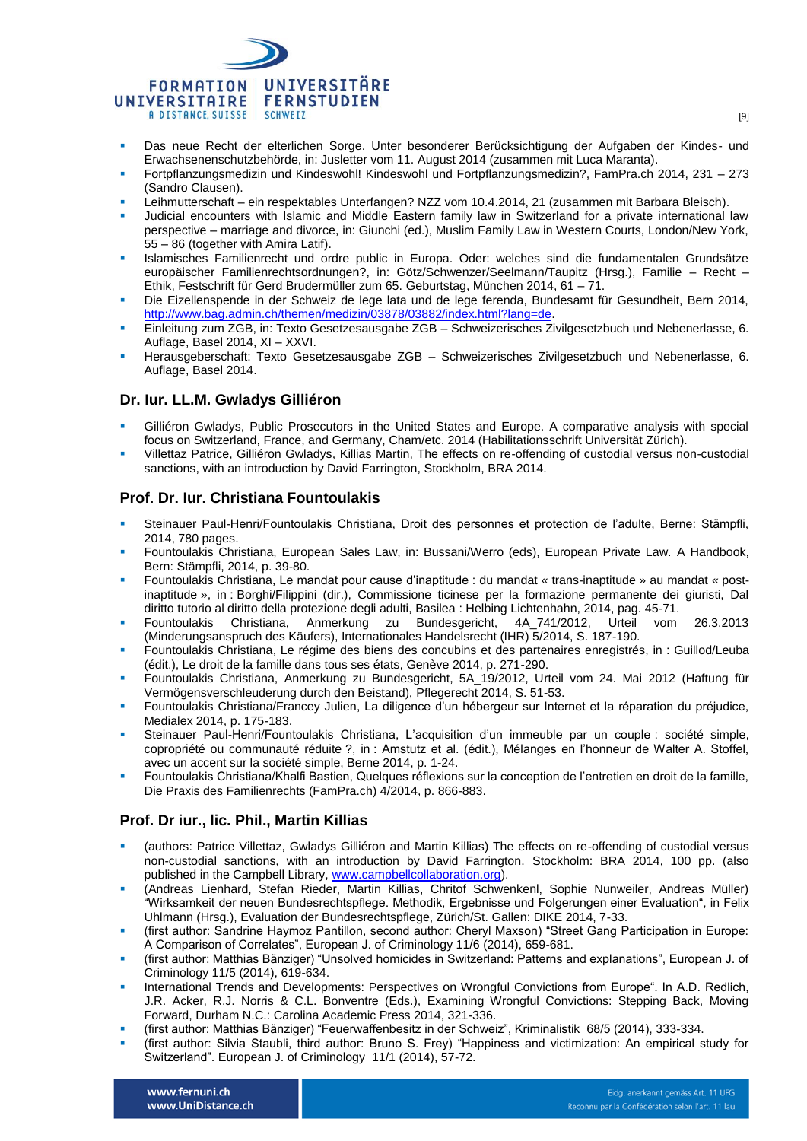

- [Das neue Recht der elterlichen Sorge. Unter besonderer Berücksichtigung der Aufgaben der Kindes-](file:///C:/Users/AppData/Local/Microsoft/Windows/Temporary%20Internet%20Files/Content.IE5/K0VH8RCX/PublikationenPDF/BuechlerMaranta.pdf) und [Erwachsenenschutzbehörde, in: Jusletter vom 11. August 2014 \(zusammen mit Luca Maranta\).](file:///C:/Users/AppData/Local/Microsoft/Windows/Temporary%20Internet%20Files/Content.IE5/K0VH8RCX/PublikationenPDF/BuechlerMaranta.pdf)
- Fortpflanzungsmedizin und Kindeswohl! Kindeswohl und Fortpflanzungsmedizin?, FamPra.ch 2014, 231 273 (Sandro Clausen).
- Leihmutterschaft ein respektables Unterfangen? NZZ vom 10.4.2014, 21 (zusammen mit Barbara Bleisch).
- Judicial encounters with Islamic and Middle Eastern family law in Switzerland for a private international law perspective – marriage and divorce, in: Giunchi (ed.), Muslim Family Law in Western Courts, London/New York, 55 – 86 (together with Amira Latif).
- Islamisches Familienrecht und ordre public in Europa. Oder: welches sind die fundamentalen Grundsätze europäischer Familienrechtsordnungen?, in: Götz/Schwenzer/Seelmann/Taupitz (Hrsg.), Familie – Recht – Ethik, Festschrift für Gerd Brudermüller zum 65. Geburtstag, München 2014, 61 – 71.
- Die Eizellenspende in der Schweiz de lege lata und de lege ferenda, Bundesamt für Gesundheit, Bern 2014, [http://www.bag.admin.ch/themen/medizin/03878/03882/index.html?lang=de.](http://www.bag.admin.ch/themen/medizin/03878/03882/index.html?lang=de)
- Einleitung zum ZGB, in: Texto Gesetzesausgabe ZGB Schweizerisches Zivilgesetzbuch und Nebenerlasse, 6. Auflage, Basel 2014, XI – XXVI.
- Herausgeberschaft: Texto Gesetzesausgabe ZGB Schweizerisches Zivilgesetzbuch und Nebenerlasse, 6. Auflage, Basel 2014.

#### **Dr. Iur. LL.M. Gwladys Gilliéron**

- Gilliéron Gwladys, Public Prosecutors in the United States and Europe. A comparative analysis with special focus on Switzerland, France, and Germany, Cham/etc. 2014 (Habilitationsschrift Universität Zürich).
- Villettaz Patrice, Gilliéron Gwladys, Killias Martin, The effects on re-offending of custodial versus non-custodial sanctions, with an introduction by David Farrington, Stockholm, BRA 2014.

#### **Prof. Dr. Iur. Christiana Fountoulakis**

- Steinauer Paul-Henri/Fountoulakis Christiana, Droit des personnes et protection de l'adulte, Berne: Stämpfli, 2014, 780 pages.
- Fountoulakis Christiana, European Sales Law, in: Bussani/Werro (eds), European Private Law. A Handbook, Bern: Stämpfli, 2014, p. 39-80.
- Fountoulakis Christiana, Le mandat pour cause d'inaptitude : du mandat « trans-inaptitude » au mandat « postinaptitude », in : Borghi/Filippini (dir.), Commissione ticinese per la formazione permanente dei giuristi, Dal diritto tutorio al diritto della protezione degli adulti, Basilea : Helbing Lichtenhahn, 2014, pag. 45-71.
- Fountoulakis Christiana, Anmerkung zu Bundesgericht, 4A\_741/2012, Urteil vom 26.3.2013 (Minderungsanspruch des Käufers), Internationales Handelsrecht (IHR) 5/2014, S. 187-190.
- Fountoulakis Christiana, Le régime des biens des concubins et des partenaires enregistrés, in : Guillod/Leuba (édit.), Le droit de la famille dans tous ses états, Genève 2014, p. 271-290.
- Fountoulakis Christiana, Anmerkung zu Bundesgericht, 5A\_19/2012, Urteil vom 24. Mai 2012 (Haftung für Vermögensverschleuderung durch den Beistand), Pflegerecht 2014, S. 51-53.
- Fountoulakis Christiana/Francey Julien, La diligence d'un hébergeur sur Internet et la réparation du préjudice, Medialex 2014, p. 175-183.
- Steinauer Paul-Henri/Fountoulakis Christiana, L'acquisition d'un immeuble par un couple : société simple, copropriété ou communauté réduite ?, in : Amstutz et al. (édit.), Mélanges en l'honneur de Walter A. Stoffel, avec un accent sur la société simple, Berne 2014, p. 1-24.
- Fountoulakis Christiana/Khalfi Bastien, Quelques réflexions sur la conception de l'entretien en droit de la famille, Die Praxis des Familienrechts (FamPra.ch) 4/2014, p. 866-883.

#### **Prof. Dr iur., lic. Phil., Martin Killias**

- (authors: Patrice Villettaz, Gwladys Gilliéron and Martin Killias) The effects on re-offending of custodial versus non-custodial sanctions, with an introduction by David Farrington. Stockholm: BRA 2014, 100 pp. (also published in the Campbell Library, [www.campbellcollaboration.org\)](http://www.campbellcollaboration.org/).
- (Andreas Lienhard, Stefan Rieder, Martin Killias, Chritof Schwenkenl, Sophie Nunweiler, Andreas Müller) "Wirksamkeit der neuen Bundesrechtspflege. Methodik, Ergebnisse und Folgerungen einer Evaluation", in Felix Uhlmann (Hrsg.), Evaluation der Bundesrechtspflege, Zürich/St. Gallen: DIKE 2014, 7-33.
- (first author: Sandrine Haymoz Pantillon, second author: Cheryl Maxson) "Street Gang Participation in Europe: A Comparison of Correlates", European J. of Criminology 11/6 (2014), 659-681.
- (first author: Matthias Bänziger) "Unsolved homicides in Switzerland: Patterns and explanations", European J. of Criminology 11/5 (2014), 619-634.
- International Trends and Developments: Perspectives on Wrongful Convictions from Europe". In A.D. Redlich, J.R. Acker, R.J. Norris & C.L. Bonventre (Eds.), Examining Wrongful Convictions: Stepping Back, Moving Forward, Durham N.C.: Carolina Academic Press 2014, 321-336.
- (first author: Matthias Bänziger) "Feuerwaffenbesitz in der Schweiz", Kriminalistik 68/5 (2014), 333-334.
- (first author: Silvia Staubli, third author: Bruno S. Frey) "Happiness and victimization: An empirical study for Switzerland". European J. of Criminology 11/1 (2014), 57-72.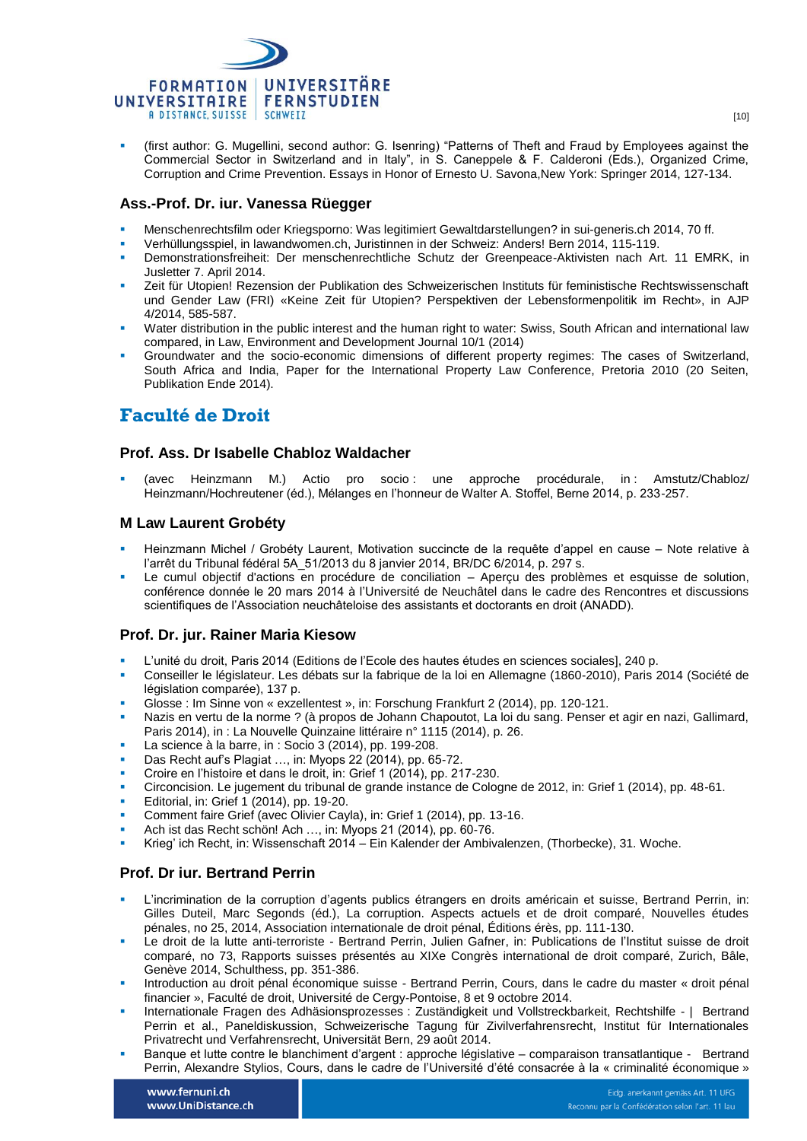

 (first author: G. Mugellini, second author: G. Isenring) "Patterns of Theft and Fraud by Employees against the Commercial Sector in Switzerland and in Italy", in S. Caneppele & F. Calderoni (Eds.), Organized Crime, Corruption and Crime Prevention. Essays in Honor of Ernesto U. Savona,New York: Springer 2014, 127-134.

#### **Ass.-Prof. Dr. iur. Vanessa Rüegger**

- Menschenrechtsfilm oder Kriegsporno: Was legitimiert Gewaltdarstellungen? in [sui-generis.ch](http://sui-generis.ch/6) 2014, 70 ff.
- Verhüllungsspiel, in lawandwomen.ch, Juristinnen in der Schweiz: Anders! Bern 2014, [115-119.](http://fernuni.ch/fileadmin/files/files_fernuni.ch/Dozierende/Ruegger_Vanessa_Verhuellungsspiel_Druck.pdf)
- Demonstrationsfreiheit: Der menschenrechtliche Schutz der Greenpeace-Aktivisten nach Art. 11 EMRK, in [Jusletter 7. April 2014.](http://jusletter.weblaw.ch/juslissues/2014/752.html)
- Zeit für Utopien! Rezension der Publikation des Schweizerischen Instituts für feministische Rechtswissenschaft und Gender Law (FRI) «Keine Zeit für Utopien? Perspektiven der Lebensformenpolitik im Recht», in [AJP](http://fernuni.ch/fileadmin/files/files_fernuni.ch/Dozierende/Ruegger_Vanessa_Rezension_publiziert.pdf)  [4/2014, 585-587.](http://fernuni.ch/fileadmin/files/files_fernuni.ch/Dozierende/Ruegger_Vanessa_Rezension_publiziert.pdf)
- Water distribution in the public interest and the human right to water: Swiss, South African and international law compared, in [Law, Environment and Development Journal 10/1 \(2014\)](http://www.lead-journal.org/content/vol10-1a.pdf)
- Groundwater and the socio-economic dimensions of different property regimes: The cases of Switzerland, South Africa and India, Paper for the International Property Law Conference, Pretoria 2010 (20 Seiten, Publikation Ende 2014).

# **Faculté de Droit**

#### **Prof. Ass. Dr Isabelle Chabloz Waldacher**

(avec Heinzmann M.) Actio pro socio : une approche procédurale, in : Amstutz/Chabloz/ Heinzmann/Hochreutener (éd.), Mélanges en l'honneur de Walter A. Stoffel, Berne 2014, p. 233-257.

#### **M Law Laurent Grobéty**

- Heinzmann Michel / Grobéty Laurent, Motivation succincte de la requête d'appel en cause Note relative à l'arrêt du Tribunal fédéral 5A\_51/2013 du 8 janvier 2014, BR/DC 6/2014, p. 297 s.
- Le cumul objectif d'actions en procédure de conciliation Aperçu des problèmes et esquisse de solution, conférence donnée le 20 mars 2014 à l'Université de Neuchâtel dans le cadre des Rencontres et discussions scientifiques de l'Association neuchâteloise des assistants et doctorants en droit (ANADD).

#### **Prof. Dr. jur. Rainer Maria Kiesow**

- L'unité du droit, Paris 2014 (Editions de l'Ecole des hautes études en sciences sociales], 240 p.
- Conseiller le législateur. Les débats sur la fabrique de la loi en Allemagne (1860-2010), Paris 2014 (Société de législation comparée), 137 p.
- Glosse : Im Sinne von « exzellentest », in: Forschung Frankfurt 2 (2014), pp. 120-121.
- Nazis en vertu de la norme ? (à propos de Johann Chapoutot, La loi du sang. Penser et agir en nazi, Gallimard, Paris 2014), in : La Nouvelle Quinzaine littéraire n° 1115 (2014), p. 26.
- La science à la barre, in : Socio 3 (2014), pp. 199-208.
- Das Recht auf's Plagiat …, in: Myops 22 (2014), pp. 65-72.
- Croire en l'histoire et dans le droit, in: Grief 1 (2014), pp. 217-230.
- Circoncision. Le jugement du tribunal de grande instance de Cologne de 2012, in: Grief 1 (2014), pp. 48-61.
- Editorial, in: Grief 1 (2014), pp. 19-20.
- Comment faire Grief (avec Olivier Cayla), in: Grief 1 (2014), pp. 13-16.
- Ach ist das Recht schön! Ach …, in: Myops 21 (2014), pp. 60-76.
- Krieg' ich Recht, in: Wissenschaft 2014 Ein Kalender der Ambivalenzen, (Thorbecke), 31. Woche.

#### **Prof. Dr iur. Bertrand Perrin**

- L'incrimination de la corruption d'agents publics étrangers en droits américain et suisse, Bertrand Perrin, in: Gilles Duteil, Marc Segonds (éd.), La corruption. Aspects actuels et de droit comparé, Nouvelles études pénales, no 25, 2014, Association internationale de droit pénal, Éditions érès, pp. 111-130.
- Le droit de la lutte anti-terroriste Bertrand Perrin, Julien Gafner, in: Publications de l'Institut suisse de droit comparé, no 73, Rapports suisses présentés au XIXe Congrès international de droit comparé, Zurich, Bâle, Genève 2014, Schulthess, pp. 351-386.
- Introduction au droit pénal économique suisse Bertrand Perrin, Cours, dans le cadre du master « droit pénal financier », Faculté de droit, Université de Cergy-Pontoise, 8 et 9 octobre 2014.
- Internationale Fragen des Adhäsionsprozesses : Zuständigkeit und Vollstreckbarkeit, Rechtshilfe | Bertrand Perrin et al., Paneldiskussion, Schweizerische Tagung für Zivilverfahrensrecht, Institut für Internationales Privatrecht und Verfahrensrecht, Universität Bern, 29 août 2014.
- Banque et lutte contre le blanchiment d'argent : approche législative comparaison transatlantique Bertrand Perrin, Alexandre Stylios, Cours, dans le cadre de l'Université d'été consacrée à la « criminalité économique »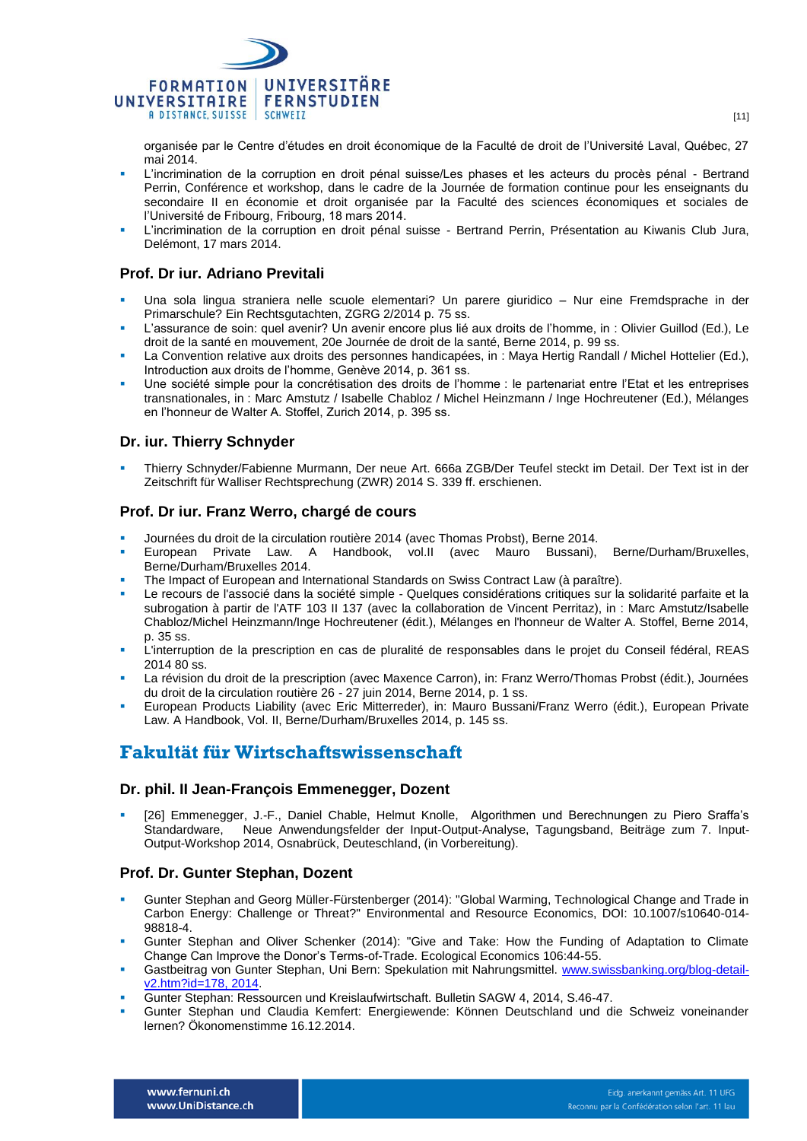

organisée par le Centre d'études en droit économique de la Faculté de droit de l'Université Laval, Québec, 27 mai 2014.

- L'incrimination de la corruption en droit pénal suisse/Les phases et les acteurs du procès pénal Bertrand Perrin, Conférence et workshop, dans le cadre de la Journée de formation continue pour les enseignants du secondaire II en économie et droit organisée par la Faculté des sciences économiques et sociales de l'Université de Fribourg, Fribourg, 18 mars 2014.
- L'incrimination de la corruption en droit pénal suisse Bertrand Perrin, Présentation au Kiwanis Club Jura, Delémont, 17 mars 2014.

### **Prof. Dr iur. Adriano Previtali**

- Una sola lingua straniera nelle scuole elementari? Un parere giuridico Nur eine Fremdsprache in der Primarschule? Ein Rechtsgutachten, ZGRG 2/2014 p. 75 ss.
- L'assurance de soin: quel avenir? Un avenir encore plus lié aux droits de l'homme, in : Olivier Guillod (Ed.), Le droit de la santé en mouvement, 20e Journée de droit de la santé, Berne 2014, p. 99 ss.
- La Convention relative aux droits des personnes handicapées, in : Maya Hertig Randall / Michel Hottelier (Ed.), Introduction aux droits de l'homme, Genève 2014, p. 361 ss.
- Une société simple pour la concrétisation des droits de l'homme : le partenariat entre l'Etat et les entreprises transnationales, in : Marc Amstutz / Isabelle Chabloz / Michel Heinzmann / Inge Hochreutener (Ed.), Mélanges en l'honneur de Walter A. Stoffel, Zurich 2014, p. 395 ss.

#### **Dr. iur. Thierry Schnyder**

 Thierry Schnyder/Fabienne Murmann, Der neue Art. 666a ZGB/Der Teufel steckt im Detail. Der Text ist in der Zeitschrift für Walliser Rechtsprechung (ZWR) 2014 S. 339 ff. erschienen.

#### **Prof. Dr iur. Franz Werro, chargé de cours**

- Journées du droit de la circulation routière 2014 (avec Thomas Probst), Berne 2014.
- European Private Law. A Handbook, vol.II (avec Mauro Bussani), Berne/Durham/Bruxelles, Berne/Durham/Bruxelles 2014.
- The Impact of European and International Standards on Swiss Contract Law (à paraître).
- Le recours de l'associé dans la société simple [Quelques considérations critiques sur la solidarité parfaite et la](http://unifr.ch/ius/assets/files/chaires/CH_Werro/files/Werro_Socitsimple.pdf)  [subrogation à partir de l'ATF 103 II 137](http://unifr.ch/ius/assets/files/chaires/CH_Werro/files/Werro_Socitsimple.pdf) (avec la collaboration de Vincent Perritaz), in : Marc Amstutz/Isabelle Chabloz/Michel Heinzmann/Inge Hochreutener (édit.), Mélanges en l'honneur de Walter A. Stoffel, Berne 2014, p. 35 ss.
- L'interruption de la prescription en cas de pluralité de responsables dans le projet du Conseil fédéral, REAS 2014 80 ss.
- La révision du droit de la prescription (avec Maxence Carron), in: Franz Werro/Thomas Probst (édit.), Journées du droit de la circulation routière 26 - 27 juin 2014, Berne 2014, p. 1 ss.
- European Products Liability (avec Eric Mitterreder), in: Mauro Bussani/Franz Werro (édit.), European Private Law. A Handbook, Vol. II, Berne/Durham/Bruxelles 2014, p. 145 ss.

# **Fakultät für Wirtschaftswissenschaft**

#### **Dr. phil. II Jean-François Emmenegger, Dozent**

[26] Emmenegger, J.-F., Daniel Chable, Helmut Knolle, Algorithmen und Berechnungen zu Piero Sraffa's<br>Standardware. Neue Anwendungsfelder der Input-Output-Analyse, Tagungsband, Beiträge zum 7. Input-Neue Anwendungsfelder der Input-Output-Analyse, Tagungsband, Beiträge zum 7. Input-Output-Workshop 2014, Osnabrück, Deuteschland, (in Vorbereitung).

#### **Prof. Dr. Gunter Stephan, Dozent**

- Gunter Stephan and Georg Müller-Fürstenberger (2014): "Global Warming, Technological Change and Trade in Carbon Energy: Challenge or Threat?" Environmental and Resource Economics, DOI: 10.1007/s10640-014- 98818-4.
- Gunter Stephan and Oliver Schenker (2014): "Give and Take: How the Funding of Adaptation to Climate Change Can Improve the Donor's Terms-of-Trade. Ecological Economics 106:44-55.
- Gastbeitrag von Gunter Stephan, Uni Bern: Spekulation mit Nahrungsmittel. www.swissbanking.org/blog-detailv2.htm?id=178, 2014.
- Gunter Stephan: Ressourcen und Kreislaufwirtschaft. Bulletin SAGW 4, 2014, S.46-47.
- Gunter Stephan und Claudia Kemfert: Energiewende: Können Deutschland und die Schweiz voneinander lernen? Ökonomenstimme 16.12.2014.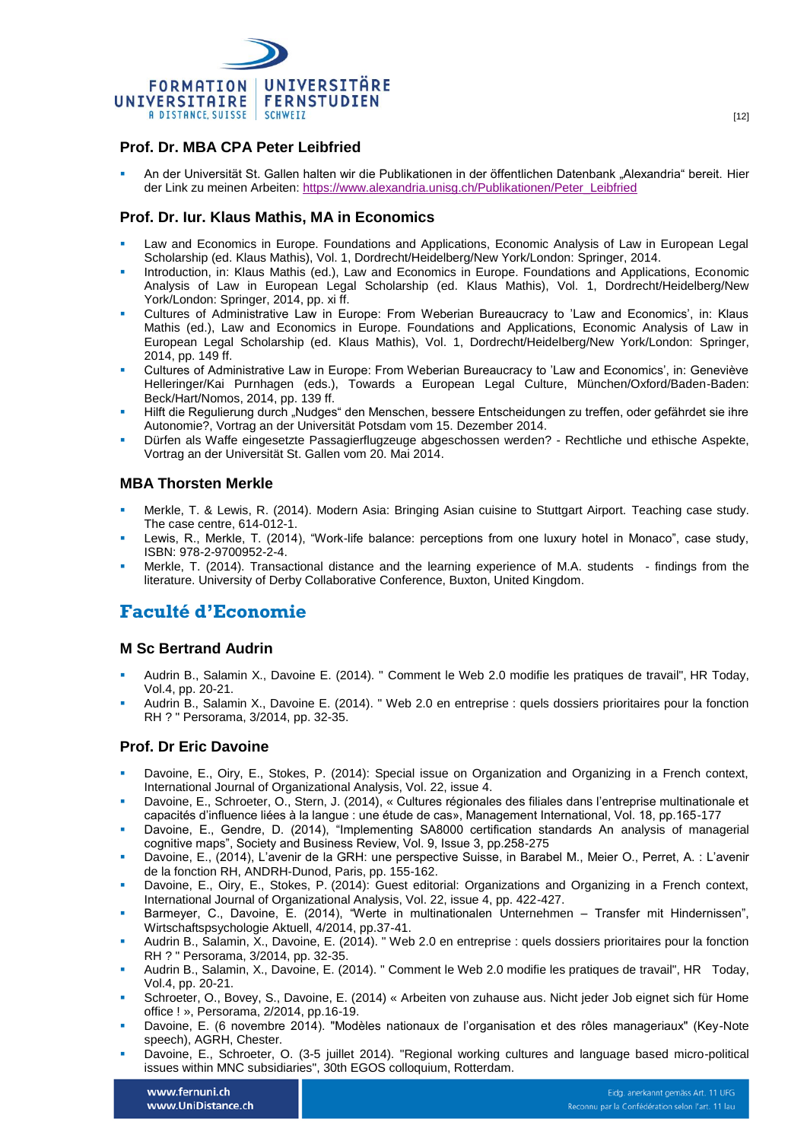

# **Prof. Dr. MBA CPA Peter Leibfried**

 An der Universität St. Gallen halten wir die Publikationen in der öffentlichen Datenbank "Alexandria" bereit. Hier der Link zu meinen Arbeiten: [https://www.alexandria.unisg.ch/Publikationen/Peter\\_Leibfried](https://www.alexandria.unisg.ch/Publikationen/Peter_Leibfried)

### **Prof. Dr. Iur. Klaus Mathis, MA in Economics**

- Law and Economics in Europe. Foundations and Applications, Economic Analysis of Law in European Legal Scholarship (ed. Klaus Mathis), Vol. 1, Dordrecht/Heidelberg/New York/London: [Springer,](http://www.springer.com/law/book/978-94-007-7109-3) 2014.
- Introduction, in: Klaus Mathis (ed.), Law and Economics in Europe. Foundations and Applications, Economic Analysis of Law in European Legal Scholarship (ed. Klaus Mathis), Vol. 1, Dordrecht/Heidelberg/New York/London: [Springer,](http://www.springer.com/law/book/978-94-007-7109-3) 2014, pp. xi ff.
- Cultures of Administrative Law in Europe: From Weberian Bureaucracy to 'Law and Economics', in: Klaus Mathis (ed.), Law and Economics in Europe. Foundations and Applications, Economic Analysis of Law in European Legal Scholarship (ed. Klaus Mathis), Vol. 1, Dordrecht/Heidelberg/New York/London: [Springer,](http://www.springer.com/law/book/978-94-007-7109-3) 2014, pp. 149 ff.
- Cultures of Administrative Law in Europe: From Weberian Bureaucracy to 'Law and Economics', in: Geneviève Helleringer/Kai Purnhagen (eds.), Towards a European Legal Culture, München/Oxford/Baden-Baden: [Beck/](http://www.beck-shop.de/Helleringer-Purnhagen-Towards-a-European-Legal-Culture/productview.aspx?product=9848378)[Hart](http://www.hartpub.co.uk/BookDetails.aspx?ISBN=9781849464918)[/Nomos,](http://www.nomos-shop.de/Helleringer-Purnhagen-Towards-a-European-Legal-Culture/productview.aspx?product=14437) 2014, pp. 139 ff.
- Hilft die Regulierung durch "Nudges" den Menschen, bessere Entscheidungen zu treffen, oder gefährdet sie ihre Autonomie?, Vortrag an der Universität Potsdam vom 15. Dezember 2014.
- Dürfen als Waffe eingesetzte Passagierflugzeuge abgeschossen werden? Rechtliche und ethische Aspekte, Vortrag an der Universität St. Gallen vom 20. Mai 2014.

### **MBA Thorsten Merkle**

- Merkle, T. & Lewis, R. (2014). Modern Asia: Bringing Asian cuisine to Stuttgart Airport. Teaching case study. The case centre, 614-012-1.
- Lewis, R., Merkle, T. (2014), "Work-life balance: perceptions from one luxury hotel in Monaco", case study, ISBN: 978-2-9700952-2-4.
- Merkle, T. (2014). Transactional distance and the learning experience of M.A. students findings from the literature. University of Derby Collaborative Conference, Buxton, United Kingdom.

# **Faculté d'Economie**

#### **M Sc Bertrand Audrin**

- Audrin B., Salamin X., Davoine E. (2014). " [Comment le Web 2.0 modifie les pratiques de travail"](http://unifr.ch/rho/assets/files/HRToday0814.pdf), HR Today, Vol.4, pp. 20-21.
- Audrin B., Salamin X., Davoine E. (2014). " Web 2.0 en entreprise [: quels dossiers prioritaires pour la fonction](http://unifr.ch/rho/assets/files/PE%20Davoine_Web%2020.pdf)  [RH](http://unifr.ch/rho/assets/files/PE%20Davoine_Web%2020.pdf) ? " Persorama, 3/2014, pp. 32-35.

#### **Prof. Dr Eric Davoine**

- Davoine, E., Oiry, E., Stokes, P. (2014): Special issue on Organization and Organizing in a French context, International Journal of Organizational Analysis, Vol. 22, issue 4.
- Davoine, E., Schroeter, O., Stern, J. (2014), « Cultures régionales des filiales dans l'entreprise multinationale et capacités d'influence liées à la langue : une étude de cas», Management International, Vol. 18, pp.165-177
- Davoine, E., Gendre, D. (2014), "Implementing SA8000 certification standards An analysis of managerial cognitive maps", Society and Business Review, Vol. 9, Issue 3, pp.258-275
- Davoine, E., (2014), L'avenir de la GRH: une perspective Suisse, in Barabel M., Meier O., Perret, A. : L'avenir de la fonction RH, ANDRH-Dunod, Paris, pp. 155-162.
- Davoine, E., Oiry, E., Stokes, P. (2014): Guest editorial: Organizations and Organizing in a French context, International Journal of Organizational Analysis, Vol. 22, issue 4, pp. 422-427.
- Barmeyer, C., Davoine, E. (2014), "Werte in multinationalen Unternehmen Transfer mit Hindernissen", Wirtschaftspsychologie Aktuell, 4/2014, pp.37-41.
- Audrin B., Salamin, X., Davoine, E. (2014). " Web 2.0 en entreprise : quels dossiers prioritaires pour la fonction RH ? " Persorama, 3/2014, pp. 32-35.
- Audrin B., Salamin, X., Davoine, E. (2014). " Comment le Web 2.0 modifie les pratiques de travail", HR Today, Vol.4, pp. 20-21.
- Schroeter, O., Bovey, S., Davoine, E. (2014) « [Arbeiten von zuhause aus. Nicht jeder Job eignet sich für Home](http://commonweb.unifr.ch/EcoDean/Pub/site_ses/img_online/A_2014/Davoine_Persorama.pdf)  [office !](http://commonweb.unifr.ch/EcoDean/Pub/site_ses/img_online/A_2014/Davoine_Persorama.pdf) », Persorama, 2/2014, pp.16-19.
- Davoine, E. (6 novembre 2014). "Modèles nationaux de l'organisation et des rôles manageriaux" (Key-Note speech), AGRH, Chester.
- Davoine, E., Schroeter, O. (3-5 juillet 2014). "Regional working cultures and language based micro-political issues within MNC subsidiaries", 30th EGOS colloquium, Rotterdam.